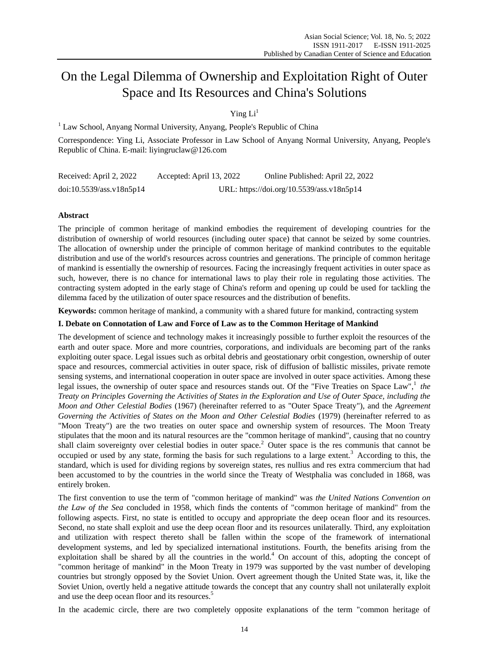# On the Legal Dilemma of Ownership and Exploitation Right of Outer Space and Its Resources and China's Solutions

Ying  $Li<sup>1</sup>$ 

<sup>1</sup> Law School, Anyang Normal University, Anyang, People's Republic of China

Correspondence: Ying Li, Associate Professor in Law School of Anyang Normal University, Anyang, People's Republic of China. E-mail: [liyingruclaw@126.com](mailto:liyingruclaw@126.com)

| Received: April 2, 2022  | Accepted: April 13, 2022                  | Online Published: April 22, 2022 |
|--------------------------|-------------------------------------------|----------------------------------|
| doi:10.5539/ass.v18n5p14 | URL: https://doi.org/10.5539/ass.v18n5p14 |                                  |

## **Abstract**

The principle of common heritage of mankind embodies the requirement of developing countries for the distribution of ownership of world resources (including outer space) that cannot be seized by some countries. The allocation of ownership under the principle of common heritage of mankind contributes to the equitable distribution and use of the world's resources across countries and generations. The principle of common heritage of mankind is essentially the ownership of resources. Facing the increasingly frequent activities in outer space as such, however, there is no chance for international laws to play their role in regulating those activities. The contracting system adopted in the early stage of China's reform and opening up could be used for tackling the dilemma faced by the utilization of outer space resources and the distribution of benefits.

**Keywords:** common heritage of mankind, a community with a shared future for mankind, contracting system

## **I. Debate on Connotation of Law and Force of Law as to the Common Heritage of Mankind**

The development of science and technology makes it increasingly possible to further exploit the resources of the earth and outer space. More and more countries, corporations, and individuals are becoming part of the ranks exploiting outer space. Legal issues such as orbital debris and geostationary orbit congestion, ownership of outer space and resources, commercial activities in outer space, risk of diffusion of ballistic missiles, private remote sensing systems, and international cooperation in outer space are involved in outer space activities. Among these legal issues, the ownership of outer space and resources stands out. Of the "Five Treaties on Space Law",<sup>1</sup> the *Treaty on Principles Governing the Activities of States in the Exploration and Use of Outer Space, including the Moon and Other Celestial Bodies* (1967) (hereinafter referred to as "Outer Space Treaty"), and the *Agreement Governing the Activities of States on the Moon and Other Celestial Bodies* (1979) (hereinafter referred to as "Moon Treaty") are the two treaties on outer space and ownership system of resources. The Moon Treaty stipulates that the moon and its natural resources are the "common heritage of mankind", causing that no country shall claim sovereignty over celestial bodies in outer space.<sup>2</sup> Outer space is the res communis that cannot be occupied or used by any state, forming the basis for such regulations to a large extent.<sup>3</sup> According to this, the standard, which is used for dividing regions by sovereign states, res nullius and res extra commercium that had been accustomed to by the countries in the world since the Treaty of Westphalia was concluded in 1868, was entirely broken.

The first convention to use the term of "common heritage of mankind" was *the United Nations Convention on the Law of the Sea* concluded in 1958, which finds the contents of "common heritage of mankind" from the following aspects. First, no state is entitled to occupy and appropriate the deep ocean floor and its resources. Second, no state shall exploit and use the deep ocean floor and its resources unilaterally. Third, any exploitation and utilization with respect thereto shall be fallen within the scope of the framework of international development systems, and led by specialized international institutions. Fourth, the benefits arising from the exploitation shall be shared by all the countries in the world.<sup>4</sup> On account of this, adopting the concept of "common heritage of mankind" in the Moon Treaty in 1979 was supported by the vast number of developing countries but strongly opposed by the Soviet Union. Overt agreement though the United State was, it, like the Soviet Union, overtly held a negative attitude towards the concept that any country shall not unilaterally exploit and use the deep ocean floor and its resources.<sup>5</sup>

In the academic circle, there are two completely opposite explanations of the term "common heritage of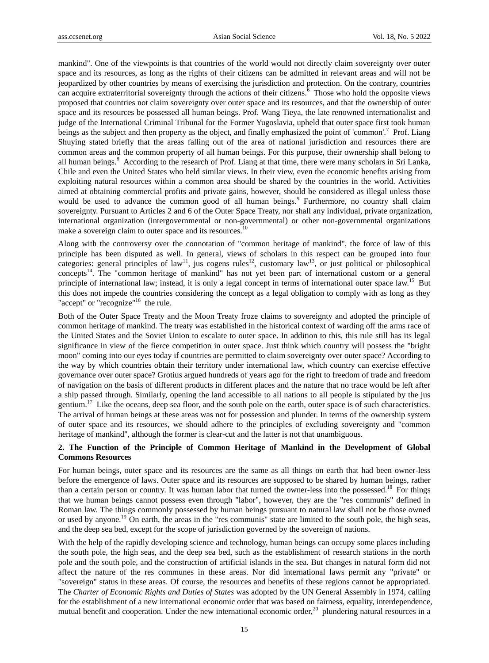mankind". One of the viewpoints is that countries of the world would not directly claim sovereignty over outer space and its resources, as long as the rights of their citizens can be admitted in relevant areas and will not be jeopardized by other countries by means of exercising the jurisdiction and protection. On the contrary, countries can acquire extraterritorial sovereignty through the actions of their citizens. $6$  Those who hold the opposite views proposed that countries not claim sovereignty over outer space and its resources, and that the ownership of outer space and its resources be possessed all human beings. Prof. Wang Tieya, the late renowned internationalist and judge of the International Criminal Tribunal for the Former Yugoslavia, upheld that outer space first took human beings as the subject and then property as the object, and finally emphasized the point of 'common'.<sup>7</sup> Prof. Liang Shuying stated briefly that the areas falling out of the area of national jurisdiction and resources there are common areas and the common property of all human beings. For this purpose, their ownership shall belong to all human beings.<sup>8</sup> According to the research of Prof. Liang at that time, there were many scholars in Sri Lanka, Chile and even the United States who held similar views. In their view, even the economic benefits arising from exploiting natural resources within a common area should be shared by the countries in the world. Activities aimed at obtaining commercial profits and private gains, however, should be considered as illegal unless those would be used to advance the common good of all human beings.<sup>9</sup> Furthermore, no country shall claim sovereignty. Pursuant to Articles 2 and 6 of the Outer Space Treaty, nor shall any individual, private organization, international organization (intergovernmental or non-governmental) or other non-governmental organizations make a sovereign claim to outer space and its resources.<sup>10</sup>

Along with the controversy over the connotation of "common heritage of mankind", the force of law of this principle has been disputed as well. In general, views of scholars in this respect can be grouped into four categories: general principles of law<sup>11</sup>, jus cogens rules<sup>12</sup>, customary law<sup>13</sup>, or just political or philosophical concepts<sup>14</sup>. The "common heritage of mankind" has not yet been part of international custom or a general principle of international law; instead, it is only a legal concept in terms of international outer space law.<sup>15</sup> But this does not impede the countries considering the concept as a legal obligation to comply with as long as they "accept" or "recognize"<sup>16</sup> the rule.

Both of the Outer Space Treaty and the Moon Treaty froze claims to sovereignty and adopted the principle of common heritage of mankind. The treaty was established in the historical context of warding off the arms race of the United States and the Soviet Union to escalate to outer space. In addition to this, this rule still has its legal significance in view of the fierce competition in outer space. Just think which country will possess the "bright moon" coming into our eyes today if countries are permitted to claim sovereignty over outer space? According to the way by which countries obtain their territory under international law, which country can exercise effective governance over outer space? Grotius argued hundreds of years ago for the right to freedom of trade and freedom of navigation on the basis of different products in different places and the nature that no trace would be left after a ship passed through. Similarly, opening the land accessible to all nations to all people is stipulated by the jus gentium.<sup>17</sup> Like the oceans, deep sea floor, and the south pole on the earth, outer space is of such characteristics. The arrival of human beings at these areas was not for possession and plunder. In terms of the ownership system of outer space and its resources, we should adhere to the principles of excluding sovereignty and "common heritage of mankind", although the former is clear-cut and the latter is not that unambiguous.

# **2. The Function of the Principle of Common Heritage of Mankind in the Development of Global Commons Resources**

For human beings, outer space and its resources are the same as all things on earth that had been owner-less before the emergence of laws. Outer space and its resources are supposed to be shared by human beings, rather than a certain person or country. It was human labor that turned the owner-less into the possessed.<sup>18</sup> For things that we human beings cannot possess even through "labor", however, they are the "res communis" defined in Roman law. The things commonly possessed by human beings pursuant to natural law shall not be those owned or used by anyone.<sup>19</sup> On earth, the areas in the "res communis" state are limited to the south pole, the high seas, and the deep sea bed, except for the scope of jurisdiction governed by the sovereign of nations.

With the help of the rapidly developing science and technology, human beings can occupy some places including the south pole, the high seas, and the deep sea bed, such as the establishment of research stations in the north pole and the south pole, and the construction of artificial islands in the sea. But changes in natural form did not affect the nature of the res communes in these areas. Nor did international laws permit any "private" or "sovereign" status in these areas. Of course, the resources and benefits of these regions cannot be appropriated. The *Charter of Economic Rights and Duties of States* was adopted by the UN General Assembly in 1974, calling for the establishment of a new international economic order that was based on fairness, equality, interdependence, mutual benefit and cooperation. Under the new international economic order, $^{20}$  plundering natural resources in a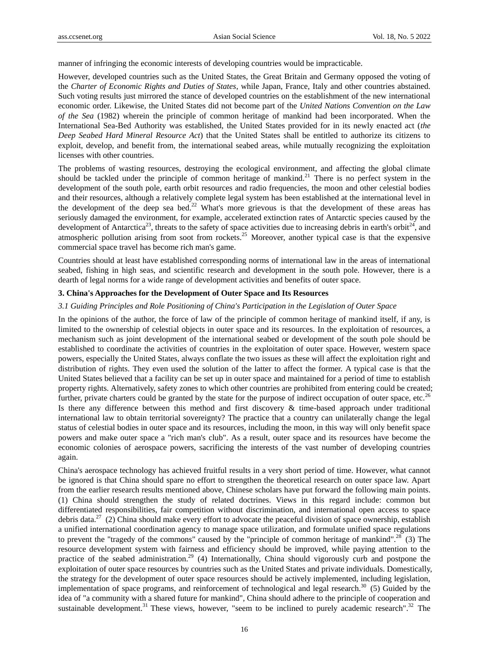manner of infringing the economic interests of developing countries would be impracticable.

However, developed countries such as the United States, the Great Britain and Germany opposed the voting of the *Charter of Economic Rights and Duties of States*, while Japan, France, Italy and other countries abstained. Such voting results just mirrored the stance of developed countries on the establishment of the new international economic order. Likewise, the United States did not become part of the *United Nations Convention on the Law of the Sea* (1982) wherein the principle of common heritage of mankind had been incorporated. When the International Sea-Bed Authority was established, the United States provided for in its newly enacted act (*the Deep Seabed Hard Mineral Resource Act*) that the United States shall be entitled to authorize its citizens to exploit, develop, and benefit from, the international seabed areas, while mutually recognizing the exploitation licenses with other countries.

The problems of wasting resources, destroying the ecological environment, and affecting the global climate should be tackled under the principle of common heritage of mankind.<sup>21</sup> There is no perfect system in the development of the south pole, earth orbit resources and radio frequencies, the moon and other celestial bodies and their resources, although a relatively complete legal system has been established at the international level in the development of the deep sea bed.<sup>22</sup> What's more grievous is that the development of these areas has seriously damaged the environment, for example, accelerated extinction rates of Antarctic species caused by the development of Antarctica<sup>23</sup>, threats to the safety of space activities due to increasing debris in earth's orbit<sup>24</sup>, and atmospheric pollution arising from soot from rockets.<sup>25</sup> Moreover, another typical case is that the expensive commercial space travel has become rich man's game.

Countries should at least have established corresponding norms of international law in the areas of international seabed, fishing in high seas, and scientific research and development in the south pole. However, there is a dearth of legal norms for a wide range of development activities and benefits of outer space.

### **3. China's Approaches for the Development of Outer Space and Its Resources**

#### *3.1 Guiding Principles and Role Positioning of China's Participation in the Legislation of Outer Space*

In the opinions of the author, the force of law of the principle of common heritage of mankind itself, if any, is limited to the ownership of celestial objects in outer space and its resources. In the exploitation of resources, a mechanism such as joint development of the international seabed or development of the south pole should be established to coordinate the activities of countries in the exploitation of outer space. However, western space powers, especially the United States, always conflate the two issues as these will affect the exploitation right and distribution of rights. They even used the solution of the latter to affect the former. A typical case is that the United States believed that a facility can be set up in outer space and maintained for a period of time to establish property rights. Alternatively, safety zones to which other countries are prohibited from entering could be created; further, private charters could be granted by the state for the purpose of indirect occupation of outer space, etc.<sup>26</sup> Is there any difference between this method and first discovery & time-based approach under traditional international law to obtain territorial sovereignty? The practice that a country can unilaterally change the legal status of celestial bodies in outer space and its resources, including the moon, in this way will only benefit space powers and make outer space a "rich man's club". As a result, outer space and its resources have become the economic colonies of aerospace powers, sacrificing the interests of the vast number of developing countries again.

China's aerospace technology has achieved fruitful results in a very short period of time. However, what cannot be ignored is that China should spare no effort to strengthen the theoretical research on outer space law. Apart from the earlier research results mentioned above, Chinese scholars have put forward the following main points. (1) China should strengthen the study of related doctrines. Views in this regard include: common but differentiated responsibilities, fair competition without discrimination, and international open access to space debris data.<sup>27</sup> (2) China should make every effort to advocate the peaceful division of space ownership, establish a unified international coordination agency to manage space utilization, and formulate unified space regulations to prevent the "tragedy of the commons" caused by the "principle of common heritage of mankind".<sup>28</sup> (3) The resource development system with fairness and efficiency should be improved, while paying attention to the practice of the seabed administration.<sup>29</sup> (4) Internationally, China should vigorously curb and postpone the exploitation of outer space resources by countries such as the United States and private individuals. Domestically, the strategy for the development of outer space resources should be actively implemented, including legislation, implementation of space programs, and reinforcement of technological and legal research. $30\,$  (5) Guided by the idea of "a community with a shared future for mankind", China should adhere to the principle of cooperation and sustainable development.<sup>31</sup> These views, however, "seem to be inclined to purely academic research".<sup>32</sup> The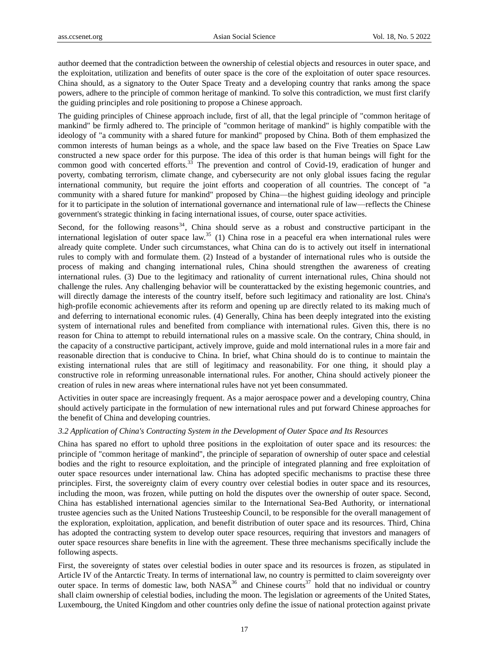author deemed that the contradiction between the ownership of celestial objects and resources in outer space, and the exploitation, utilization and benefits of outer space is the core of the exploitation of outer space resources. China should, as a signatory to the Outer Space Treaty and a developing country that ranks among the space powers, adhere to the principle of common heritage of mankind. To solve this contradiction, we must first clarify the guiding principles and role positioning to propose a Chinese approach.

The guiding principles of Chinese approach include, first of all, that the legal principle of "common heritage of mankind" be firmly adhered to. The principle of "common heritage of mankind" is highly compatible with the ideology of "a community with a shared future for mankind" proposed by China. Both of them emphasized the common interests of human beings as a whole, and the space law based on the Five Treaties on Space Law constructed a new space order for this purpose. The idea of this order is that human beings will fight for the common good with concerted efforts.<sup>33</sup> The prevention and control of Covid-19, eradication of hunger and poverty, combating terrorism, climate change, and cybersecurity are not only global issues facing the regular international community, but require the joint efforts and cooperation of all countries. The concept of "a community with a shared future for mankind" proposed by China—the highest guiding ideology and principle for it to participate in the solution of international governance and international rule of law—reflects the Chinese government's strategic thinking in facing international issues, of course, outer space activities.

Second, for the following reasons<sup>34</sup>, China should serve as a robust and constructive participant in the international legislation of outer space law.<sup>35</sup> (1) China rose in a peaceful era when international rules were already quite complete. Under such circumstances, what China can do is to actively out itself in international rules to comply with and formulate them. (2) Instead of a bystander of international rules who is outside the process of making and changing international rules, China should strengthen the awareness of creating international rules. (3) Due to the legitimacy and rationality of current international rules, China should not challenge the rules. Any challenging behavior will be counterattacked by the existing hegemonic countries, and will directly damage the interests of the country itself, before such legitimacy and rationality are lost. China's high-profile economic achievements after its reform and opening up are directly related to its making much of and deferring to international economic rules. (4) Generally, China has been deeply integrated into the existing system of international rules and benefited from compliance with international rules. Given this, there is no reason for China to attempt to rebuild international rules on a massive scale. On the contrary, China should, in the capacity of a constructive participant, actively improve, guide and mold international rules in a more fair and reasonable direction that is conducive to China. In brief, what China should do is to continue to maintain the existing international rules that are still of legitimacy and reasonability. For one thing, it should play a constructive role in reforming unreasonable international rules. For another, China should actively pioneer the creation of rules in new areas where international rules have not yet been consummated.

Activities in outer space are increasingly frequent. As a major aerospace power and a developing country, China should actively participate in the formulation of new international rules and put forward Chinese approaches for the benefit of China and developing countries.

## *3.2 Application of China's Contracting System in the Development of Outer Space and Its Resources*

China has spared no effort to uphold three positions in the exploitation of outer space and its resources: the principle of "common heritage of mankind", the principle of separation of ownership of outer space and celestial bodies and the right to resource exploitation, and the principle of integrated planning and free exploitation of outer space resources under international law. China has adopted specific mechanisms to practise these three principles. First, the sovereignty claim of every country over celestial bodies in outer space and its resources, including the moon, was frozen, while putting on hold the disputes over the ownership of outer space. Second, China has established international agencies similar to the International Sea-Bed Authority, or international trustee agencies such as the United Nations Trusteeship Council, to be responsible for the overall management of the exploration, exploitation, application, and benefit distribution of outer space and its resources. Third, China has adopted the contracting system to develop outer space resources, requiring that investors and managers of outer space resources share benefits in line with the agreement. These three mechanisms specifically include the following aspects.

First, the sovereignty of states over celestial bodies in outer space and its resources is frozen, as stipulated in Article IV of the Antarctic Treaty. In terms of international law, no country is permitted to claim sovereignty over outer space. In terms of domestic law, both  $NASA^{36}$  and Chinese courts<sup>37</sup> hold that no individual or country shall claim ownership of celestial bodies, including the moon. The legislation or agreements of the United States, Luxembourg, the United Kingdom and other countries only define the issue of national protection against private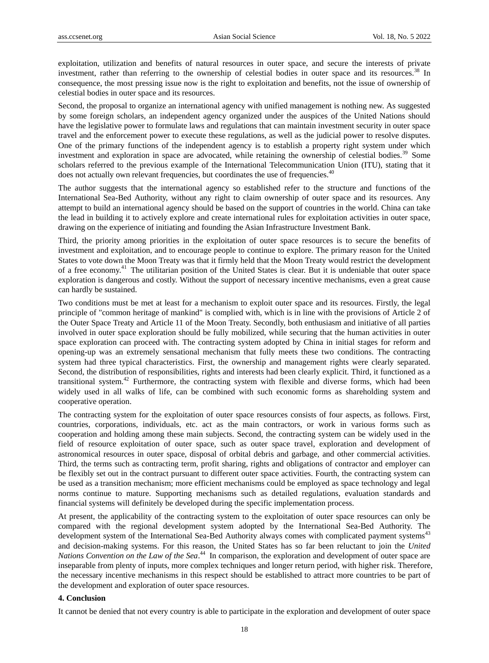exploitation, utilization and benefits of natural resources in outer space, and secure the interests of private investment, rather than referring to the ownership of celestial bodies in outer space and its resources.<sup>38</sup> In consequence, the most pressing issue now is the right to exploitation and benefits, not the issue of ownership of celestial bodies in outer space and its resources.

Second, the proposal to organize an international agency with unified management is nothing new. As suggested by some foreign scholars, an independent agency organized under the auspices of the United Nations should have the legislative power to formulate laws and regulations that can maintain investment security in outer space travel and the enforcement power to execute these regulations, as well as the judicial power to resolve disputes. One of the primary functions of the independent agency is to establish a property right system under which investment and exploration in space are advocated, while retaining the ownership of celestial bodies.<sup>39</sup> Some scholars referred to the previous example of the International Telecommunication Union (ITU), stating that it does not actually own relevant frequencies, but coordinates the use of frequencies.<sup>40</sup>

The author suggests that the international agency so established refer to the structure and functions of the International Sea-Bed Authority, without any right to claim ownership of outer space and its resources. Any attempt to build an international agency should be based on the support of countries in the world. China can take the lead in building it to actively explore and create international rules for exploitation activities in outer space, drawing on the experience of initiating and founding the Asian Infrastructure Investment Bank.

Third, the priority among priorities in the exploitation of outer space resources is to secure the benefits of investment and exploitation, and to encourage people to continue to explore. The primary reason for the United States to vote down the Moon Treaty was that it firmly held that the Moon Treaty would restrict the development of a free economy.<sup>41</sup> The utilitarian position of the United States is clear. But it is undeniable that outer space exploration is dangerous and costly. Without the support of necessary incentive mechanisms, even a great cause can hardly be sustained.

Two conditions must be met at least for a mechanism to exploit outer space and its resources. Firstly, the legal principle of "common heritage of mankind" is complied with, which is in line with the provisions of Article 2 of the Outer Space Treaty and Article 11 of the Moon Treaty. Secondly, both enthusiasm and initiative of all parties involved in outer space exploration should be fully mobilized, while securing that the human activities in outer space exploration can proceed with. The contracting system adopted by China in initial stages for reform and opening-up was an extremely sensational mechanism that fully meets these two conditions. The contracting system had three typical characteristics. First, the ownership and management rights were clearly separated. Second, the distribution of responsibilities, rights and interests had been clearly explicit. Third, it functioned as a transitional system.<sup>42</sup> Furthermore, the contracting system with flexible and diverse forms, which had been widely used in all walks of life, can be combined with such economic forms as shareholding system and cooperative operation.

The contracting system for the exploitation of outer space resources consists of four aspects, as follows. First, countries, corporations, individuals, etc. act as the main contractors, or work in various forms such as cooperation and holding among these main subjects. Second, the contracting system can be widely used in the field of resource exploitation of outer space, such as outer space travel, exploration and development of astronomical resources in outer space, disposal of orbital debris and garbage, and other commercial activities. Third, the terms such as contracting term, profit sharing, rights and obligations of contractor and employer can be flexibly set out in the contract pursuant to different outer space activities. Fourth, the contracting system can be used as a transition mechanism; more efficient mechanisms could be employed as space technology and legal norms continue to mature. Supporting mechanisms such as detailed regulations, evaluation standards and financial systems will definitely be developed during the specific implementation process.

At present, the applicability of the contracting system to the exploitation of outer space resources can only be compared with the regional development system adopted by the International Sea-Bed Authority. The development system of the International Sea-Bed Authority always comes with complicated payment systems<sup>43</sup> and decision-making systems. For this reason, the United States has so far been reluctant to join the *United Nations Convention on the Law of the Sea*. <sup>44</sup> In comparison, the exploration and development of outer space are inseparable from plenty of inputs, more complex techniques and longer return period, with higher risk. Therefore, the necessary incentive mechanisms in this respect should be established to attract more countries to be part of the development and exploration of outer space resources.

## **4. Conclusion**

It cannot be denied that not every country is able to participate in the exploration and development of outer space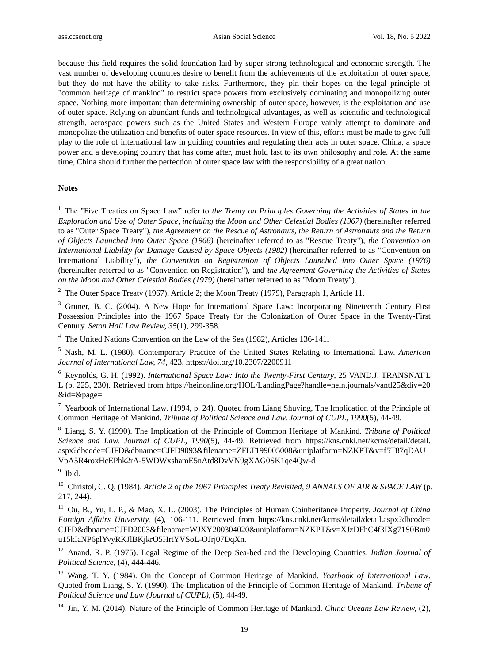because this field requires the solid foundation laid by super strong technological and economic strength. The vast number of developing countries desire to benefit from the achievements of the exploitation of outer space, but they do not have the ability to take risks. Furthermore, they pin their hopes on the legal principle of "common heritage of mankind" to restrict space powers from exclusively dominating and monopolizing outer space. Nothing more important than determining ownership of outer space, however, is the exploitation and use of outer space. Relying on abundant funds and technological advantages, as well as scientific and technological strength, aerospace powers such as the United States and Western Europe vainly attempt to dominate and monopolize the utilization and benefits of outer space resources. In view of this, efforts must be made to give full play to the role of international law in guiding countries and regulating their acts in outer space. China, a space power and a developing country that has come after, must hold fast to its own philosophy and role. At the same time, China should further the perfection of outer space law with the responsibility of a great nation.

#### **Notes**

-

<sup>2</sup> The Outer Space Treaty (1967), Article 2; the Moon Treaty (1979), Paragraph 1, Article 11.

<sup>3</sup> Gruner, B. C. (2004). A New Hope for International Space Law: Incorporating Nineteenth Century First Possession Principles into the 1967 Space Treaty for the Colonization of Outer Space in the Twenty-First Century. *Seton Hall Law Review, 35*(1), 299-358.

<sup>4</sup> The United Nations Convention on the Law of the Sea (1982), Articles 136-141.

<sup>5</sup> Nash, M. L. (1980). Contemporary Practice of the United States Relating to International Law. *American Journal of International Law, 74,* 423. https://doi.org/10.2307/2200911

<sup>6</sup> Reynolds, G. H. (1992). *International Space Law: Into the Twenty-First Century*, 25 VAND.J. TRANSNAT'L L (p. 225, 230). Retrieved from https://heinonline.org/HOL/LandingPage?handle=hein.journals/vantl25&div=20 &id=&page=

<sup>7</sup> Yearbook of International Law. (1994, p. 24). Quoted from Liang Shuying, The Implication of the Principle of Common Heritage of Mankind. *Tribune of Political Science and Law. Journal of CUPL, 1990*(5), 44-49.

<sup>8</sup> Liang, S. Y. (1990). The Implication of the Principle of Common Heritage of Mankind. *Tribune of Political Science and Law. Journal of CUPL, 1990*(5), 44-49. Retrieved from https://kns.cnki.net/kcms/detail/detail. aspx?dbcode=CJFD&dbname=CJFD9093&filename=ZFLT199005008&uniplatform=NZKPT&v=f5T87qDAU VpA5R4roxHcEPhk2rA-5WDWxshamE5nAtd8DvVN9gXAG0SK1qe4Qw-d

<sup>9</sup> Ibid.

<sup>10</sup> Christol, C. Q. (1984). *Article 2 of the 1967 Principles Treaty Revisited*, *9 ANNALS OF AIR & SPACE LAW* (p. 217, 244).

<sup>11</sup> Ou, B., Yu, L. P., & Mao, X. L. (2003). The Principles of Human Coinheritance Property. *Journal of China Foreign Affairs University,* (4), 106-111. Retrieved from https://kns.cnki.net/kcms/detail/detail.aspx?dbcode= CJFD&dbname=CJFD2003&filename=WJXY200304020&uniplatform=NZKPT&v=XJzDFhC4f3IXg71S0Bm0 u15kIaNP6plYvyRKJlBKjkrO5HrtYVSoL-OJrj07DqXn.

<sup>12</sup> Anand, R. P. (1975). Legal Regime of the Deep Sea-bed and the Developing Countries. *Indian Journal of Political Science,* (4), 444-446.

<sup>13</sup> Wang, T. Y. (1984). On the Concept of Common Heritage of Mankind. *Yearbook of International Law*. Quoted from Liang, S. Y. (1990). The Implication of the Principle of Common Heritage of Mankind. *Tribune of Political Science and Law (Journal of CUPL),* (5), 44-49.

<sup>14</sup> Jin, Y. M. (2014). Nature of the Principle of Common Heritage of Mankind. *China Oceans Law Review,* (2),

<sup>&</sup>lt;sup>1</sup> The "Five Treaties on Space Law" refer to *the Treaty on Principles Governing the Activities of States in the Exploration and Use of Outer Space, including the Moon and Other Celestial Bodies (1967)* (hereinafter referred to as "Outer Space Treaty"), *the Agreement on the Rescue of Astronauts, the Return of Astronauts and the Return of Objects Launched into Outer Space (1968)* (hereinafter referred to as "Rescue Treaty"), *the Convention on International Liability for Damage Caused by Space Objects (1982)* (hereinafter referred to as "Convention on International Liability"), *the Convention on Registration of Objects Launched into Outer Space (1976)* (hereinafter referred to as "Convention on Registration"), and *the Agreement Governing the Activities of States on the Moon and Other Celestial Bodies (1979)* (hereinafter referred to as "Moon Treaty").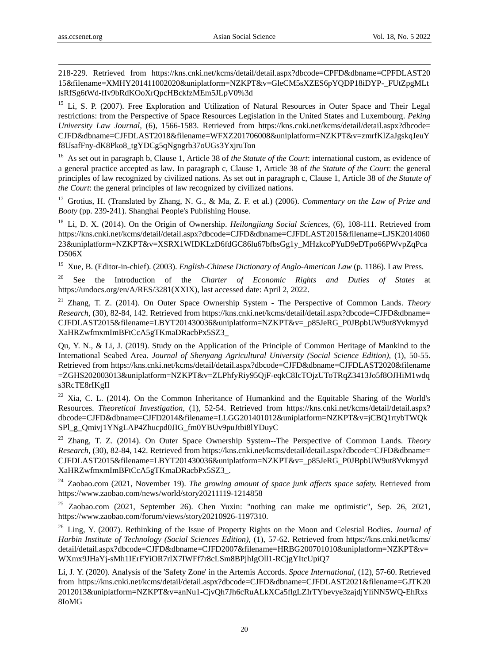-

218-229. Retrieved from https://kns.cnki.net/kcms/detail/detail.aspx?dbcode=CPFD&dbname=CPFDLAST20 15&filename=XMHY201411002020&uniplatform=NZKPT&v=GleCM5sXZES6pYQDP18iDYP-\_FUtZpgMLt lsRfSg6tWd-fIv9bRdKOoXrQpcHBckfzMEm5JLpV0%3d

<sup>15</sup> Li, S. P. (2007). Free Exploration and Utilization of Natural Resources in Outer Space and Their Legal restrictions: from the Perspective of Space Resources Legislation in the United States and Luxembourg. *Peking University Law Journal,* (6), 1566-1583. Retrieved from https://kns.cnki.net/kcms/detail/detail.aspx?dbcode= CJFD&dbname=CJFDLAST2018&filename=WFXZ201706008&uniplatform=NZKPT&v=zmrfKlZaJgskqJeuY f8UsafFny-dK8Pko8\_tgYDCg5qNgngrb37oUGs3YxjruTon

<sup>16</sup> As set out in paragraph b, Clause 1, Article 38 of *the Statute of the Court*: international custom, as evidence of a general practice accepted as law. In paragraph c, Clause 1, Article 38 of *the Statute of the Court*: the general principles of law recognized by civilized nations. As set out in paragraph c, Clause 1, Article 38 of *the Statute of the Court*: the general principles of law recognized by civilized nations.

<sup>17</sup> Grotius, H. (Translated by Zhang, N. G., & Ma, Z. F. et al.) (2006). *Commentary on the Law of Prize and Booty* (pp. 239-241). Shanghai People's Publishing House.

<sup>18</sup> Li, D. X. (2014). On the Origin of Ownership. *Heilongjiang Social Sciences,* (6), 108-111. Retrieved from https://kns.cnki.net/kcms/detail/detail.aspx?dbcode=CJFD&dbname=CJFDLAST2015&filename=LJSK2014060 23&uniplatform=NZKPT&v=XSRX1WIDKLzD6fdGC86lu67bfbsGg1y\_MHzkcoPYuD9eDTpo66PWvpZqPca D506X

<sup>19</sup> Xue, B. (Editor-in-chief). (2003). *English-Chinese Dictionary of Anglo-American Law* (p. 1186). Law Press.

<sup>20</sup> See the Introduction of the *Charter of Economic Rights and Duties of States* at https://undocs.org/en/A/RES/3281(XXIX), last accessed date: April 2, 2022.

<sup>21</sup> Zhang, T. Z. (2014). On Outer Space Ownership System - The Perspective of Common Lands. *Theory Research,* (30), 82-84, 142. Retrieved from https://kns.cnki.net/kcms/detail/detail.aspx?dbcode=CJFD&dbname= CJFDLAST2015&filename=LBYT201430036&uniplatform=NZKPT&v=\_p85JeRG\_P0JBpbUW9ut8Yvkmyyd XaHRZwfmxmImBFtCcA5gTKmaDRacbPx5SZ3\_

Qu, Y. N., & Li, J. (2019). Study on the Application of the Principle of Common Heritage of Mankind to the International Seabed Area. *Journal of Shenyang Agricultural University (Social Science Edition),* (1), 50-55. Retrieved from https://kns.cnki.net/kcms/detail/detail.aspx?dbcode=CJFD&dbname=CJFDLAST2020&filename =ZGHS202003013&uniplatform=NZKPT&v=ZLPhfyRiy95QjF-eqkC8IcTOjzUToTRqZ3413Jo5f8OJHiM1wdq s3RcTE8rIKgII

<sup>22</sup> Xia, C. L. (2014). On the Common Inheritance of Humankind and the Equitable Sharing of the World's Resources. *Theoretical Investigation,* (1), 52-54. Retrieved from https://kns.cnki.net/kcms/detail/detail.aspx? dbcode=CJFD&dbname=CJFD2014&filename=LLGG201401012&uniplatform=NZKPT&v=jCBQ1rtybTWQk SPl\_g\_Qmivj1YNgLAP4Zhucpd0JIG\_fm0YBUv9puJtbi8lYDuyC

<sup>23</sup> Zhang, T. Z. (2014). On Outer Space Ownership System--The Perspective of Common Lands. *Theory Research,* (30), 82-84, 142. Retrieved from https://kns.cnki.net/kcms/detail/detail.aspx?dbcode=CJFD&dbname= CJFDLAST2015&filename=LBYT201430036&uniplatform=NZKPT&v=\_p85JeRG\_P0JBpbUW9ut8Yvkmyyd XaHRZwfmxmImBFtCcA5gTKmaDRacbPx5SZ3\_.

<sup>24</sup> Zaobao.com (2021, November 19). *The growing amount of space junk affects space safety.* Retrieved from https://www.zaobao.com/news/world/story20211119-1214858

<sup>25</sup> Zaobao.com (2021, September 26). Chen Yuxin: "nothing can make me optimistic", Sep. 26, 2021, https://www.zaobao.com/forum/views/story20210926-1197310.

<sup>26</sup> Ling, Y. (2007). Rethinking of the Issue of Property Rights on the Moon and Celestial Bodies. *Journal of Harbin Institute of Technology (Social Sciences Edition),* (1), 57-62. Retrieved from https://kns.cnki.net/kcms/ detail/detail.aspx?dbcode=CJFD&dbname=CJFD2007&filename=HRBG200701010&uniplatform=NZKPT&v= WXmx9JHaYj-sMh1IErFYiOR7rlX7IWFf7r8cLSm8BPjhIgOll1-RCjgYItcUpiQ7

Li, J. Y. (2020). Analysis of the 'Safety Zone' in the Artemis Accords. *Space International,* (12), 57-60. Retrieved from https://kns.cnki.net/kcms/detail/detail.aspx?dbcode=CJFD&dbname=CJFDLAST2021&filename=GJTK20 2012013&uniplatform=NZKPT&v=anNu1-CjvQh7Jh6cRuALkXCa5flgLZIrTYbevye3zajdjYliNN5WQ-EhRxs 8IoMG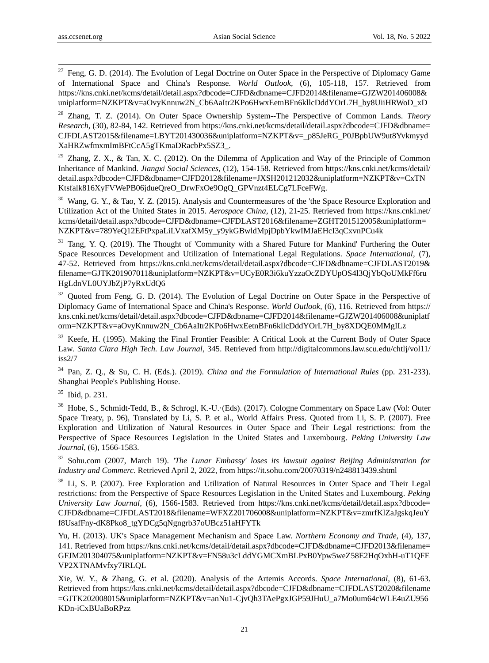-

 $27$  Feng, G. D. (2014). The Evolution of Legal Doctrine on Outer Space in the Perspective of Diplomacy Game of International Space and China's Response. *World Outlook,* (6), 105-118, 157. Retrieved from https://kns.cnki.net/kcms/detail/detail.aspx?dbcode=CJFD&dbname=CJFD2014&filename=GJZW201406008& uniplatform=NZKPT&v=aOvyKnnuw2N\_Cb6AaItr2KPo6HwxEetnBFn6kllcDddYOrL7H\_by8UiiHRWoD\_xD

<sup>28</sup> Zhang, T. Z. (2014). On Outer Space Ownership System--The Perspective of Common Lands. *Theory Research,* (30), 82-84, 142. Retrieved from https://kns.cnki.net/kcms/detail/detail.aspx?dbcode=CJFD&dbname= CJFDLAST2015&filename=LBYT201430036&uniplatform=NZKPT&v=\_p85JeRG\_P0JBpbUW9ut8Yvkmyyd XaHRZwfmxmImBFtCcA5gTKmaDRacbPx5SZ3\_.

<sup>29</sup> Zhang, Z. X., & Tan, X. C. (2012). On the Dilemma of Application and Way of the Principle of Common Inheritance of Mankind. *Jiangxi Social Sciences,* (12), 154-158. Retrieved from https://kns.cnki.net/kcms/detail/ detail.aspx?dbcode=CJFD&dbname=CJFD2012&filename=JXSH201212032&uniplatform=NZKPT&v=CxTN Ktsfalk816XyFVWePB06jdueOreO\_DrwFxOe9OgO\_GPVnzt4ELCg7LFceFWg.

<sup>30</sup> Wang, G. Y., & Tao, Y. Z. (2015). Analysis and Countermeasures of the 'the Space Resource Exploration and Utilization Act of the United States in 2015. *Aerospace China,* (12), 21-25. Retrieved from https://kns.cnki.net/ kcms/detail/detail.aspx?dbcode=CJFD&dbname=CJFDLAST2016&filename=ZGHT201512005&uniplatform= NZKPT&v=789YeQ12EFtPxpaLiLVxafXM5y\_y9ykGBwldMpjDpbYkwIMJaEHcI3qCxvnPCu4k

<sup>31</sup> Tang, Y. Q. (2019). The Thought of 'Community with a Shared Future for Mankind' Furthering the Outer Space Resources Development and Utilization of International Legal Regulations. *Space International,* (7), 47-52. Retrieved from https://kns.cnki.net/kcms/detail/detail.aspx?dbcode=CJFD&dbname=CJFDLAST2019& filename=GJTK201907011&uniplatform=NZKPT&v=UCyE0R3i6kuYzzaOcZDYUpOS4l3QjYbQoUMkFf6ru HgLdnVL0UYJbZjP7yRxUdQ6

<sup>32</sup> Ouoted from Feng, G. D. (2014). The Evolution of Legal Doctrine on Outer Space in the Perspective of Diplomacy Game of International Space and China's Response. *World Outlook,* (6), 116. Retrieved from https:// kns.cnki.net/kcms/detail/detail.aspx?dbcode=CJFD&dbname=CJFD2014&filename=GJZW201406008&uniplatf orm=NZKPT&v=aOvyKnnuw2N\_Cb6AaItr2KPo6HwxEetnBFn6kllcDddYOrL7H\_by8XDQE0MMgILz

<sup>33</sup> Keefe, H. (1995). Making the Final Frontier Feasible: A Critical Look at the Current Body of Outer Space Law. *Santa Clara High Tech. Law Journal,* 345. Retrieved from http://digitalcommons.law.scu.edu/chtlj/vol11/ iss2/7

<sup>34</sup> Pan, Z. Q., & Su, C. H. (Eds.). (2019). *China and the Formulation of International Rules* (pp. 231-233). Shanghai People's Publishing House.

<sup>35</sup> Ibid, p. 231.

<sup>36</sup> Hobe, S., Schmidt-Tedd, B., & Schrogl, K.-U. (Eds). (2017). Cologne Commentary on Space Law (Vol: Outer Space Treaty, p. 96), Translated by Li, S. P. et al., World Affairs Press. Quoted from Li, S. P. (2007). Free Exploration and Utilization of Natural Resources in Outer Space and Their Legal restrictions: from the Perspective of Space Resources Legislation in the United States and Luxembourg. *Peking University Law Journal,* (6), 1566-1583.

<sup>37</sup> Sohu.com (2007, March 19). *'The Lunar Embassy' loses its lawsuit against Beijing Administration for Industry and Commerc.* Retrieved April 2, 2022, from https://it.sohu.com/20070319/n248813439.shtml

<sup>38</sup> Li, S. P. (2007). Free Exploration and Utilization of Natural Resources in Outer Space and Their Legal restrictions: from the Perspective of Space Resources Legislation in the United States and Luxembourg. *Peking University Law Journal,* (6), 1566-1583. Retrieved from https://kns.cnki.net/kcms/detail/detail.aspx?dbcode= CJFD&dbname=CJFDLAST2018&filename=WFXZ201706008&uniplatform=NZKPT&v=zmrfKlZaJgskqJeuY f8UsafFny-dK8Pko8\_tgYDCg5qNgngrb37oUBcz51aHFYTk

Yu, H. (2013). UK's Space Management Mechanism and Space Law. *Northern Economy and Trade*, (4), 137, 141. Retrieved from https://kns.cnki.net/kcms/detail/detail.aspx?dbcode=CJFD&dbname=CJFD2013&filename= GFJM201304075&uniplatform=NZKPT&v=FN58u3cLddYGMCXmBLPxB0Ypw5weZ58E2HqOxhH-uT1QFE VP2XTNAMvfxy7IRLQL

Xie, W. Y., & Zhang, G. et al. (2020). Analysis of the Artemis Accords. *Space International,* (8), 61-63. Retrieved from https://kns.cnki.net/kcms/detail/detail.aspx?dbcode=CJFD&dbname=CJFDLAST2020&filename =GJTK202008015&uniplatform=NZKPT&v=anNu1-CjvQh3TAePgxJGP59JHuU\_a7Mo0um64cWLE4uZU956 KDn-iCxBUaBoRPzz